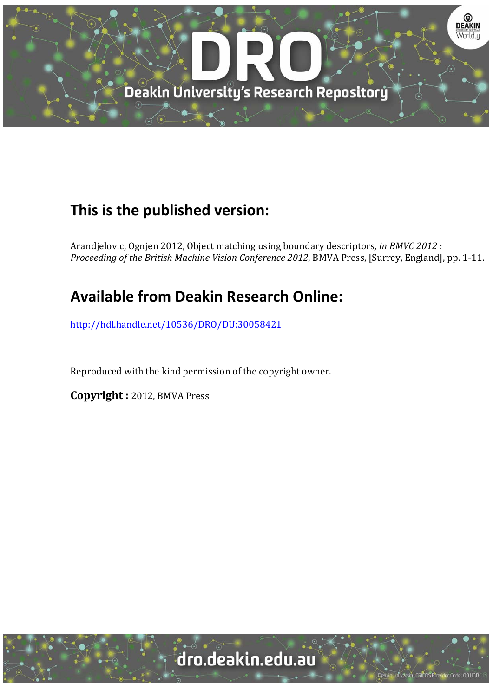

# **This is the published version:**

Arandjelovic, Ognjen 2012, Object matching using boundary descriptors, *in BMVC 2012* : *Proceeding of the British Machine Vision Conference 2012*, BMVA Press, [Surrey, England], pp. 1‐11. 

# **Available from Deakin Research Online:**

http://hdl.handle.net/10536/DRO/DU:30058421

Reproduced with the kind permission of the copyright owner.

**Copyright :** 2012, BMVA Press 

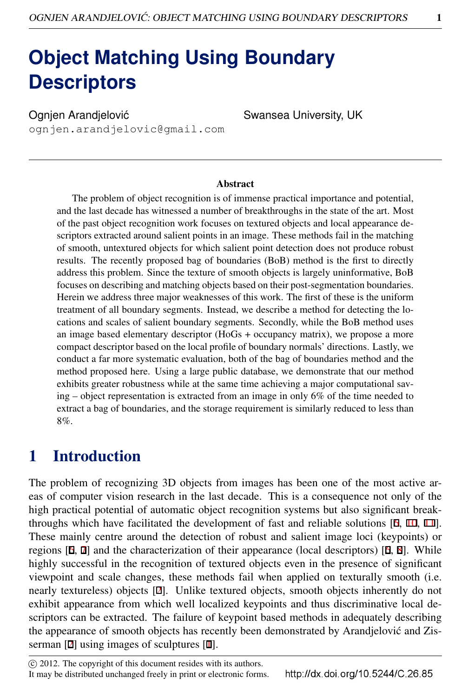# **Object Matching Using Boundary Descriptors**

Ognjen Arandjelovic´ ognjen.arandjelovic@gmail.com Swansea University, UK

#### Abstract

The problem of object recognition is of immense practical importance and potential, and the last decade has witnessed a number of breakthroughs in the state of the art. Most of the past object recognition work focuses on textured objects and local appearance descriptors extracted around salient points in an image. These methods fail in the matching of smooth, untextured objects for which salient point detection does not produce robust results. The recently proposed bag of boundaries (BoB) method is the first to directly address this problem. Since the texture of smooth objects is largely uninformative, BoB focuses on describing and matching objects based on their post-segmentation boundaries. Herein we address three major weaknesses of this work. The first of these is the uniform treatment of all boundary segments. Instead, we describe a method for detecting the locations and scales of salient boundary segments. Secondly, while the BoB method uses an image based elementary descriptor (HoGs + occupancy matrix), we propose a more compact descriptor based on the local profile of boundary normals' directions. Lastly, we conduct a far more systematic evaluation, both of the bag of boundaries method and the method proposed here. Using a large public database, we demonstrate that our method exhibits greater robustness while at the same time achieving a major computational saving – object representation is extracted from an image in only 6% of the time needed to extract a bag of boundaries, and the storage requirement is similarly reduced to less than 8%.

### 1 Introduction

The problem of recognizing 3D objects from images has been one of the most active areas of computer vision research in the last decade. This is a consequence not only of the high practical potential of automatic object recognition systems but also significant breakthroughs which have facilitated the development of fast and reliable solutions [6, 10, 11]. These mainly centre around the detection of robust and salient image loci (keypoints) or regions  $[6, 7]$  and the characterization of their appearance (local descriptors)  $[6, 8]$ . While highly successful in the recognition of textured objects even in the presence of significant viewpoint and scale changes, these methods fail when applied on texturally smooth (i.e. nearly textureless) objects [2]. Unlike textured objects, smooth objects inherently do not exhibit appearance from which well localized keypoints and thus discriminative local descriptors can be extracted. The failure of keypoint based methods in adequately describing the appearance of smooth objects has recently been demonstrated by Arandjelovic and Zis- ´ serman [2] using images of sculptures [1].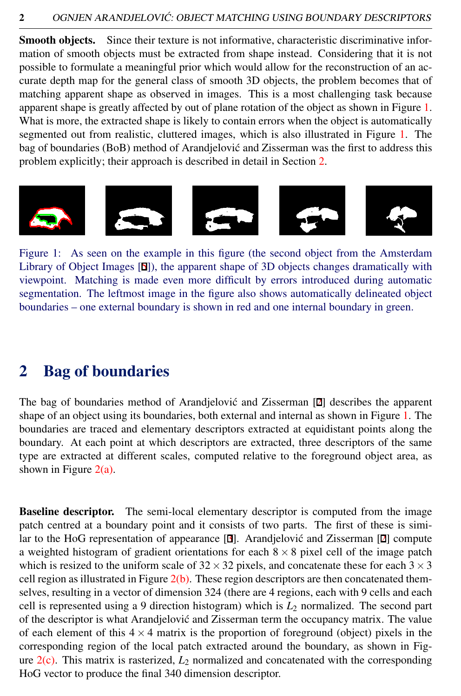Smooth objects. Since their texture is not informative, characteristic discriminative information of smooth objects must be extracted from shape instead. Considering that it is not possible to formulate a meaningful prior which would allow for the reconstruction of an accurate depth map for the general class of smooth 3D objects, the problem becomes that of matching apparent shape as observed in images. This is a most challenging task because apparent shape is greatly affected by out of plane rotation of the object as shown in Figure [1.](#page-2-0) What is more, the extracted shape is likely to contain errors when the object is automatically segmented out from realistic, cluttered images, which is also illustrated in Figure [1.](#page-2-0) The bag of boundaries (BoB) method of Arandjelovic and Zisserman was the first to address this ´ problem explicitly; their approach is described in detail in Section [2.](#page-2-1)

<span id="page-2-0"></span>

Figure 1: As seen on the example in this figure (the second object from the Amsterdam Library of Object Images [5]), the apparent shape of 3D objects changes dramatically with viewpoint. Matching is made even more difficult by errors introduced during automatic segmentation. The leftmost image in the figure also shows automatically delineated object boundaries – one external boundary is shown in red and one internal boundary in green.

### <span id="page-2-1"></span>2 Bag of boundaries

The bag of boundaries method of Arandjelović and Zisserman  $[2]$  describes the apparent shape of an object using its boundaries, both external and internal as shown in Figure [1.](#page-2-0) The boundaries are traced and elementary descriptors extracted at equidistant points along the boundary. At each point at which descriptors are extracted, three descriptors of the same type are extracted at different scales, computed relative to the foreground object area, as shown in Figure  $2(a)$ .

Baseline descriptor. The semi-local elementary descriptor is computed from the image patch centred at a boundary point and it consists of two parts. The first of these is similar to the HoG representation of appearance  $[3]$ . Arandjelović and Zisserman  $[2]$  compute a weighted histogram of gradient orientations for each  $8 \times 8$  pixel cell of the image patch which is resized to the uniform scale of  $32 \times 32$  pixels, and concatenate these for each  $3 \times 3$ cell region as illustrated in Figure  $2(b)$ . These region descriptors are then concatenated themselves, resulting in a vector of dimension 324 (there are 4 regions, each with 9 cells and each cell is represented using a 9 direction histogram) which is  $L_2$  normalized. The second part of the descriptor is what Arandjelovic and Zisserman term the occupancy matrix. The value ´ of each element of this  $4 \times 4$  matrix is the proportion of foreground (object) pixels in the corresponding region of the local patch extracted around the boundary, as shown in Figure  $2(c)$ . This matrix is rasterized,  $L_2$  normalized and concatenated with the corresponding HoG vector to produce the final 340 dimension descriptor.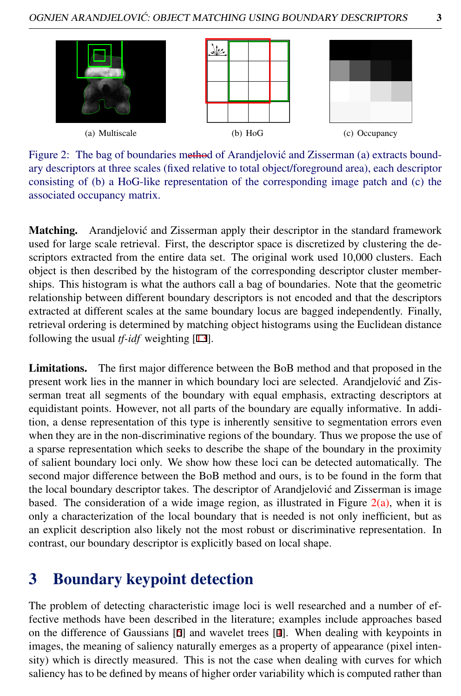<span id="page-3-2"></span><span id="page-3-1"></span><span id="page-3-0"></span>

Figure 2: The bag of boundaries method of Arandjelovic and Zisserman (a) extracts boundary descriptors at three scales (fixed relative to total object/foreground area), each descriptor consisting of (b) a HoG-like representation of the corresponding image patch and (c) the associated occupancy matrix.

Matching. Arandielović and Zisserman apply their descriptor in the standard framework used for large scale retrieval. First, the descriptor space is discretized by clustering the descriptors extracted from the entire data set. The original work used 10,000 clusters. Each object is then described by the histogram of the corresponding descriptor cluster memberships. This histogram is what the authors call a bag of boundaries. Note that the geometric relationship between different boundary descriptors is not encoded and that the descriptors extracted at different scales at the same boundary locus are bagged independently. Finally, retrieval ordering is determined by matching object histograms using the Euclidean distance following the usual *tf-idf* weighting [13].

Limitations. The first major difference between the BoB method and that proposed in the present work lies in the manner in which boundary loci are selected. Arandjelovic and Zis- ´ serman treat all segments of the boundary with equal emphasis, extracting descriptors at equidistant points. However, not all parts of the boundary are equally informative. In addition, a dense representation of this type is inherently sensitive to segmentation errors even when they are in the non-discriminative regions of the boundary. Thus we propose the use of a sparse representation which seeks to describe the shape of the boundary in the proximity of salient boundary loci only. We show how these loci can be detected automatically. The second major difference between the BoB method and ours, is to be found in the form that the local boundary descriptor takes. The descriptor of Arandjelovic and Zisserman is image ´ based. The consideration of a wide image region, as illustrated in Figure  $2(a)$ , when it is only a characterization of the local boundary that is needed is not only inefficient, but as an explicit description also likely not the most robust or discriminative representation. In contrast, our boundary descriptor is explicitly based on local shape.

## <span id="page-3-3"></span>3 Boundary keypoint detection

The problem of detecting characteristic image loci is well researched and a number of effective methods have been described in the literature; examples include approaches based on the difference of Gaussians  $[6]$  and wavelet trees  $[4]$ . When dealing with keypoints in images, the meaning of saliency naturally emerges as a property of appearance (pixel intensity) which is directly measured. This is not the case when dealing with curves for which saliency has to be defined by means of higher order variability which is computed rather than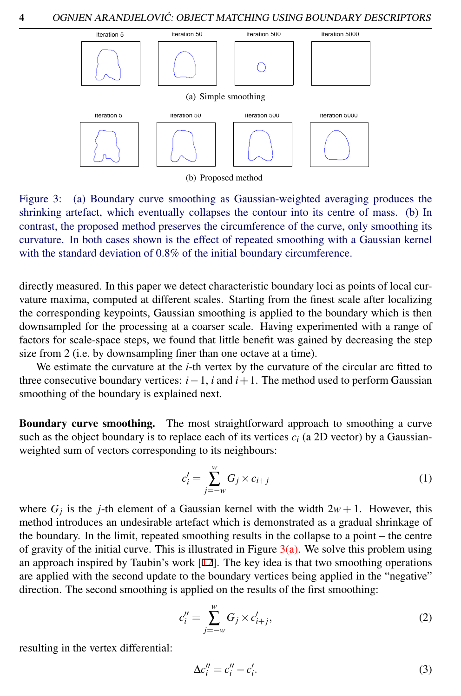<span id="page-4-0"></span>

<span id="page-4-1"></span>Figure 3: (a) Boundary curve smoothing as Gaussian-weighted averaging produces the shrinking artefact, which eventually collapses the contour into its centre of mass. (b) In contrast, the proposed method preserves the circumference of the curve, only smoothing its curvature. In both cases shown is the effect of repeated smoothing with a Gaussian kernel with the standard deviation of 0.8% of the initial boundary circumference.

directly measured. In this paper we detect characteristic boundary loci as points of local curvature maxima, computed at different scales. Starting from the finest scale after localizing the corresponding keypoints, Gaussian smoothing is applied to the boundary which is then downsampled for the processing at a coarser scale. Having experimented with a range of factors for scale-space steps, we found that little benefit was gained by decreasing the step size from 2 (i.e. by downsampling finer than one octave at a time).

We estimate the curvature at the *i*-th vertex by the curvature of the circular arc fitted to three consecutive boundary vertices:  $i-1$ ,  $i$  and  $i+1$ . The method used to perform Gaussian smoothing of the boundary is explained next.

Boundary curve smoothing. The most straightforward approach to smoothing a curve such as the object boundary is to replace each of its vertices  $c_i$  (a 2D vector) by a Gaussianweighted sum of vectors corresponding to its neighbours:

$$
c'_{i} = \sum_{j=-w}^{w} G_{j} \times c_{i+j} \tag{1}
$$

where  $G_j$  is the *j*-th element of a Gaussian kernel with the width  $2w + 1$ . However, this method introduces an undesirable artefact which is demonstrated as a gradual shrinkage of the boundary. In the limit, repeated smoothing results in the collapse to a point – the centre of gravity of the initial curve. This is illustrated in Figure  $3(a)$ . We solve this problem using an approach inspired by Taubin's work [12]. The key idea is that two smoothing operations are applied with the second update to the boundary vertices being applied in the "negative" direction. The second smoothing is applied on the results of the first smoothing:

$$
c_i'' = \sum_{j=-w}^{w} G_j \times c_{i+j}',
$$
 (2)

resulting in the vertex differential:

$$
\Delta c_i'' = c_i'' - c_i'.\tag{3}
$$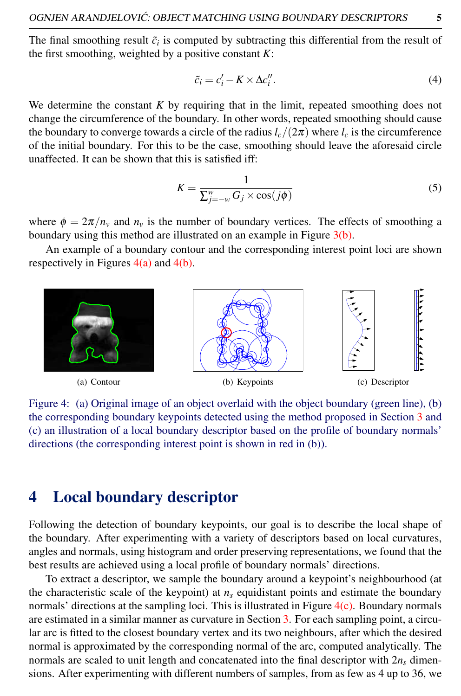The final smoothing result  $\tilde{c}_i$  is computed by subtracting this differential from the result of the first smoothing, weighted by a positive constant *K*:

$$
\tilde{c}_i = c'_i - K \times \Delta c''_i. \tag{4}
$$

We determine the constant *K* by requiring that in the limit, repeated smoothing does not change the circumference of the boundary. In other words, repeated smoothing should cause the boundary to converge towards a circle of the radius  $l_c/(2\pi)$  where  $l_c$  is the circumference of the initial boundary. For this to be the case, smoothing should leave the aforesaid circle unaffected. It can be shown that this is satisfied iff:

<span id="page-5-2"></span>
$$
K = \frac{1}{\sum_{j=-w}^{w} G_j \times \cos(j\phi)}
$$
(5)

where  $\phi = 2\pi/n_v$  and  $n_v$  is the number of boundary vertices. The effects of smoothing a boundary using this method are illustrated on an example in Figure  $3(b)$ .

An example of a boundary contour and the corresponding interest point loci are shown respectively in Figures  $4(a)$  and  $4(b)$ .

<span id="page-5-0"></span>

<span id="page-5-1"></span>Figure 4: (a) Original image of an object overlaid with the object boundary (green line), (b) the corresponding boundary keypoints detected using the method proposed in Section [3](#page-3-3) and (c) an illustration of a local boundary descriptor based on the profile of boundary normals' directions (the corresponding interest point is shown in red in (b)).

#### 4 Local boundary descriptor

Following the detection of boundary keypoints, our goal is to describe the local shape of the boundary. After experimenting with a variety of descriptors based on local curvatures, angles and normals, using histogram and order preserving representations, we found that the best results are achieved using a local profile of boundary normals' directions.

To extract a descriptor, we sample the boundary around a keypoint's neighbourhood (at the characteristic scale of the keypoint) at  $n<sub>s</sub>$  equidistant points and estimate the boundary normals' directions at the sampling loci. This is illustrated in Figure [4\(c\).](#page-5-2) Boundary normals are estimated in a similar manner as curvature in Section [3.](#page-3-3) For each sampling point, a circular arc is fitted to the closest boundary vertex and its two neighbours, after which the desired normal is approximated by the corresponding normal of the arc, computed analytically. The normals are scaled to unit length and concatenated into the final descriptor with  $2n<sub>s</sub>$  dimensions. After experimenting with different numbers of samples, from as few as 4 up to 36, we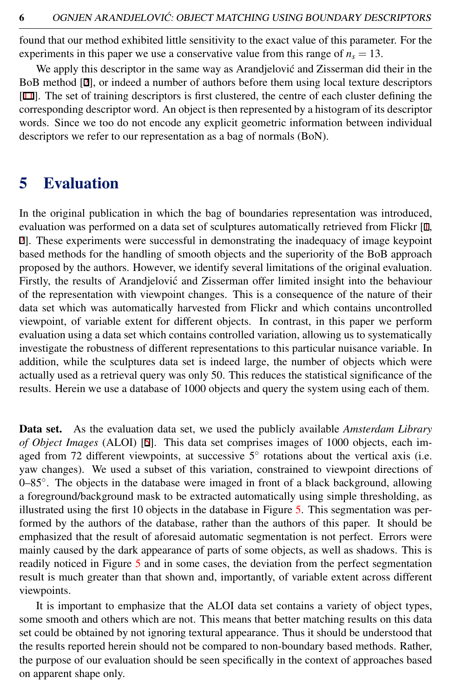found that our method exhibited little sensitivity to the exact value of this parameter. For the experiments in this paper we use a conservative value from this range of  $n<sub>s</sub> = 13$ .

We apply this descriptor in the same way as Arandjelović and Zisserman did their in the BoB method [2], or indeed a number of authors before them using local texture descriptors [11]. The set of training descriptors is first clustered, the centre of each cluster defining the corresponding descriptor word. An object is then represented by a histogram of its descriptor words. Since we too do not encode any explicit geometric information between individual descriptors we refer to our representation as a bag of normals (BoN).

### 5 Evaluation

In the original publication in which the bag of boundaries representation was introduced, evaluation was performed on a data set of sculptures automatically retrieved from Flickr [1, 2]. These experiments were successful in demonstrating the inadequacy of image keypoint based methods for the handling of smooth objects and the superiority of the BoB approach proposed by the authors. However, we identify several limitations of the original evaluation. Firstly, the results of Arandjelovic and Zisserman offer limited insight into the behaviour ´ of the representation with viewpoint changes. This is a consequence of the nature of their data set which was automatically harvested from Flickr and which contains uncontrolled viewpoint, of variable extent for different objects. In contrast, in this paper we perform evaluation using a data set which contains controlled variation, allowing us to systematically investigate the robustness of different representations to this particular nuisance variable. In addition, while the sculptures data set is indeed large, the number of objects which were actually used as a retrieval query was only 50. This reduces the statistical significance of the results. Herein we use a database of 1000 objects and query the system using each of them.

Data set. As the evaluation data set, we used the publicly available *Amsterdam Library of Object Images* (ALOI) [5]. This data set comprises images of 1000 objects, each imaged from 72 different viewpoints, at successive 5° rotations about the vertical axis (i.e. yaw changes). We used a subset of this variation, constrained to viewpoint directions of 0–85°. The objects in the database were imaged in front of a black background, allowing a foreground/background mask to be extracted automatically using simple thresholding, as illustrated using the first 10 objects in the database in Figure [5.](#page-7-0) This segmentation was performed by the authors of the database, rather than the authors of this paper. It should be emphasized that the result of aforesaid automatic segmentation is not perfect. Errors were mainly caused by the dark appearance of parts of some objects, as well as shadows. This is readily noticed in Figure [5](#page-7-0) and in some cases, the deviation from the perfect segmentation result is much greater than that shown and, importantly, of variable extent across different viewpoints.

It is important to emphasize that the ALOI data set contains a variety of object types, some smooth and others which are not. This means that better matching results on this data set could be obtained by not ignoring textural appearance. Thus it should be understood that the results reported herein should not be compared to non-boundary based methods. Rather, the purpose of our evaluation should be seen specifically in the context of approaches based on apparent shape only.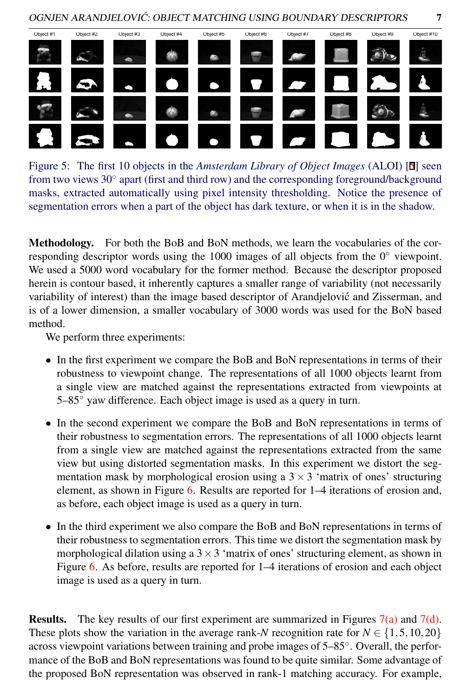

<span id="page-7-0"></span>Figure 5: The first 10 objects in the *Amsterdam Library of Object Images* (ALOI) [5] seen from two views 30° apart (first and third row) and the corresponding foreground/background masks, extracted automatically using pixel intensity thresholding. Notice the presence of segmentation errors when a part of the object has dark texture, or when it is in the shadow.

Methodology. For both the BoB and BoN methods, we learn the vocabularies of the corresponding descriptor words using the 1000 images of all objects from the  $0°$  viewpoint. We used a 5000 word vocabulary for the former method. Because the descriptor proposed herein is contour based, it inherently captures a smaller range of variability (not necessarily variability of interest) than the image based descriptor of Arandjelovic and Zisserman, and ´ is of a lower dimension, a smaller vocabulary of 3000 words was used for the BoN based method.

We perform three experiments:

- In the first experiment we compare the BoB and BoN representations in terms of their robustness to viewpoint change. The representations of all 1000 objects learnt from a single view are matched against the representations extracted from viewpoints at 5–85◦ yaw difference. Each object image is used as a query in turn.
- In the second experiment we compare the BoB and BoN representations in terms of their robustness to segmentation errors. The representations of all 1000 objects learnt from a single view are matched against the representations extracted from the same view but using distorted segmentation masks. In this experiment we distort the segmentation mask by morphological erosion using a  $3 \times 3$  'matrix of ones' structuring element, as shown in Figure [6.](#page-8-0) Results are reported for 1–4 iterations of erosion and, as before, each object image is used as a query in turn.
- In the third experiment we also compare the BoB and BoN representations in terms of their robustness to segmentation errors. This time we distort the segmentation mask by morphological dilation using a  $3 \times 3$  'matrix of ones' structuring element, as shown in Figure [6.](#page-8-0) As before, results are reported for 1–4 iterations of erosion and each object image is used as a query in turn.

**Results.** The key results of our first experiment are summarized in Figures  $7(a)$  and  $7(d)$ . These plots show the variation in the average rank-*N* recognition rate for  $N \in \{1, 5, 10, 20\}$ across viewpoint variations between training and probe images of 5–85◦ . Overall, the performance of the BoB and BoN representations was found to be quite similar. Some advantage of the proposed BoN representation was observed in rank-1 matching accuracy. For example,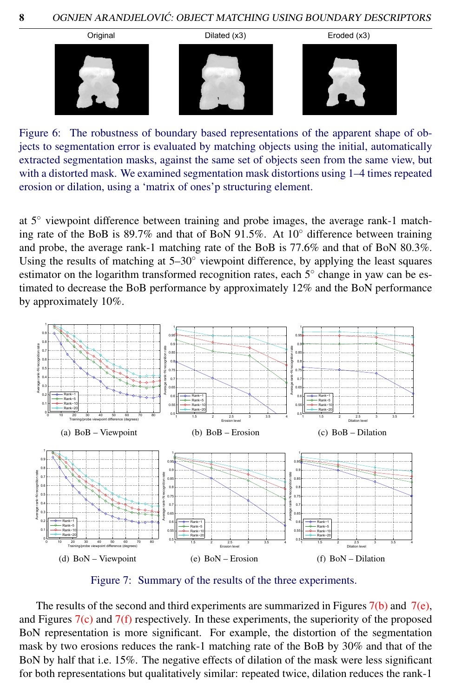

Figure 6: The robustness of boundary based representations of the apparent shape of objects to segmentation error is evaluated by matching objects using the initial, automatically extracted segmentation masks, against the same set of objects seen from the same view, but with a distorted mask. We examined segmentation mask distortions using 1–4 times repeated erosion or dilation, using a 'matrix of ones'p structuring element.

<span id="page-8-0"></span>at 5◦ viewpoint difference between training and probe images, the average rank-1 matching rate of the BoB is  $89.7\%$  and that of BoN  $91.5\%$ . At  $10\degree$  difference between training and probe, the average rank-1 matching rate of the BoB is 77.6% and that of BoN 80.3%. Using the results of matching at  $5-30°$  viewpoint difference, by applying the least squares estimator on the logarithm transformed recognition rates, each 5° change in yaw can be estimated to decrease the BoB performance by approximately 12% and the BoN performance by approximately 10%.

<span id="page-8-3"></span><span id="page-8-1"></span>

<span id="page-8-6"></span><span id="page-8-5"></span><span id="page-8-4"></span><span id="page-8-2"></span>Figure 7: Summary of the results of the three experiments.

The results of the second and third experiments are summarized in Figures [7\(b\)](#page-8-3) and [7\(e\),](#page-8-4) and Figures  $7(c)$  and  $7(f)$  respectively. In these experiments, the superiority of the proposed BoN representation is more significant. For example, the distortion of the segmentation mask by two erosions reduces the rank-1 matching rate of the BoB by 30% and that of the BoN by half that i.e. 15%. The negative effects of dilation of the mask were less significant for both representations but qualitatively similar: repeated twice, dilation reduces the rank-1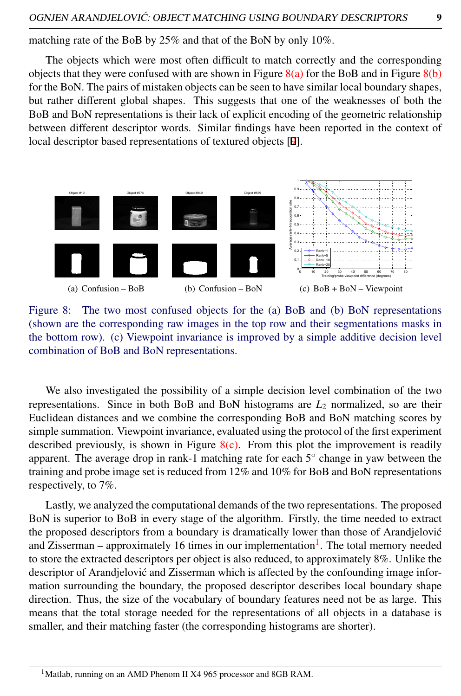matching rate of the BoB by 25% and that of the BoN by only 10%.

The objects which were most often difficult to match correctly and the corresponding objects that they were confused with are shown in Figure  $8(a)$  for the BoB and in Figure  $8(b)$ for the BoN. The pairs of mistaken objects can be seen to have similar local boundary shapes, but rather different global shapes. This suggests that one of the weaknesses of both the BoB and BoN representations is their lack of explicit encoding of the geometric relationship between different descriptor words. Similar findings have been reported in the context of local descriptor based representations of textured objects [9].

<span id="page-9-2"></span><span id="page-9-0"></span>

<span id="page-9-1"></span>Figure 8: The two most confused objects for the (a) BoB and (b) BoN representations (shown are the corresponding raw images in the top row and their segmentations masks in the bottom row). (c) Viewpoint invariance is improved by a simple additive decision level combination of BoB and BoN representations.

We also investigated the possibility of a simple decision level combination of the two representations. Since in both BoB and BoN histograms are  $L_2$  normalized, so are their Euclidean distances and we combine the corresponding BoB and BoN matching scores by simple summation. Viewpoint invariance, evaluated using the protocol of the first experiment described previously, is shown in Figure  $8(c)$ . From this plot the improvement is readily apparent. The average drop in rank-1 matching rate for each 5◦ change in yaw between the training and probe image set is reduced from 12% and 10% for BoB and BoN representations respectively, to 7%.

Lastly, we analyzed the computational demands of the two representations. The proposed BoN is superior to BoB in every stage of the algorithm. Firstly, the time needed to extract the proposed descriptors from a boundary is dramatically lower than those of Arandjelovic´ and Zisserman – approximately [1](#page-9-3)6 times in our implementation<sup>1</sup>. The total memory needed to store the extracted descriptors per object is also reduced, to approximately 8%. Unlike the descriptor of Arandjelović and Zisserman which is affected by the confounding image information surrounding the boundary, the proposed descriptor describes local boundary shape direction. Thus, the size of the vocabulary of boundary features need not be as large. This means that the total storage needed for the representations of all objects in a database is smaller, and their matching faster (the corresponding histograms are shorter).

<span id="page-9-3"></span><sup>1</sup>Matlab, running on an AMD Phenom II X4 965 processor and 8GB RAM.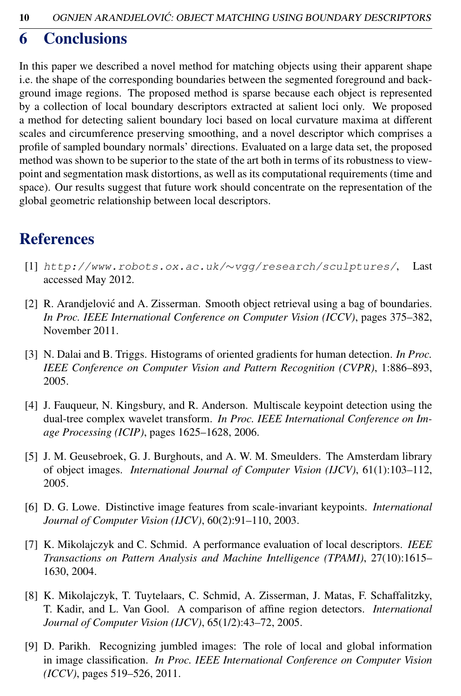# 6 Conclusions

In this paper we described a novel method for matching objects using their apparent shape i.e. the shape of the corresponding boundaries between the segmented foreground and background image regions. The proposed method is sparse because each object is represented by a collection of local boundary descriptors extracted at salient loci only. We proposed a method for detecting salient boundary loci based on local curvature maxima at different scales and circumference preserving smoothing, and a novel descriptor which comprises a profile of sampled boundary normals' directions. Evaluated on a large data set, the proposed method was shown to be superior to the state of the art both in terms of its robustness to viewpoint and segmentation mask distortions, as well as its computational requirements (time and space). Our results suggest that future work should concentrate on the representation of the global geometric relationship between local descriptors.

## References

- [1] http://www.robots.ox.ac.uk/∼vgg/research/sculptures/, Last accessed May 2012.
- [2] R. Arandjelović and A. Zisserman. Smooth object retrieval using a bag of boundaries. *In Proc. IEEE International Conference on Computer Vision (ICCV)*, pages 375–382, November 2011.
- [3] N. Dalai and B. Triggs. Histograms of oriented gradients for human detection. *In Proc. IEEE Conference on Computer Vision and Pattern Recognition (CVPR)*, 1:886–893, 2005.
- [4] J. Fauqueur, N. Kingsbury, and R. Anderson. Multiscale keypoint detection using the dual-tree complex wavelet transform. *In Proc. IEEE International Conference on Image Processing (ICIP)*, pages 1625–1628, 2006.
- [5] J. M. Geusebroek, G. J. Burghouts, and A. W. M. Smeulders. The Amsterdam library of object images. *International Journal of Computer Vision (IJCV)*, 61(1):103–112, 2005.
- [6] D. G. Lowe. Distinctive image features from scale-invariant keypoints. *International Journal of Computer Vision (IJCV)*, 60(2):91–110, 2003.
- [7] K. Mikolajczyk and C. Schmid. A performance evaluation of local descriptors. *IEEE Transactions on Pattern Analysis and Machine Intelligence (TPAMI)*, 27(10):1615– 1630, 2004.
- [8] K. Mikolajczyk, T. Tuytelaars, C. Schmid, A. Zisserman, J. Matas, F. Schaffalitzky, T. Kadir, and L. Van Gool. A comparison of affine region detectors. *International Journal of Computer Vision (IJCV)*, 65(1/2):43–72, 2005.
- [9] D. Parikh. Recognizing jumbled images: The role of local and global information in image classification. *In Proc. IEEE International Conference on Computer Vision (ICCV)*, pages 519–526, 2011.